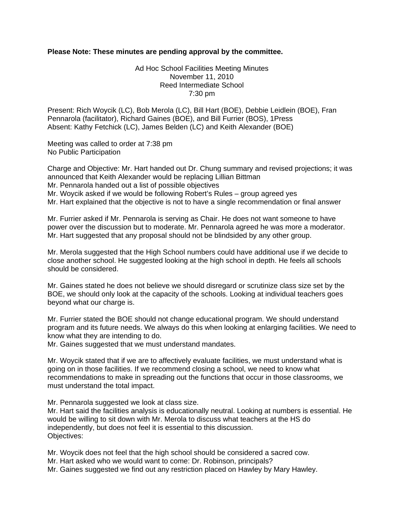## **Please Note: These minutes are pending approval by the committee.**

## Ad Hoc School Facilities Meeting Minutes November 11, 2010 Reed Intermediate School 7:30 pm

Present: Rich Woycik (LC), Bob Merola (LC), Bill Hart (BOE), Debbie Leidlein (BOE), Fran Pennarola (facilitator), Richard Gaines (BOE), and Bill Furrier (BOS), 1Press Absent: Kathy Fetchick (LC), James Belden (LC) and Keith Alexander (BOE)

Meeting was called to order at 7:38 pm No Public Participation

Charge and Objective: Mr. Hart handed out Dr. Chung summary and revised projections; it was announced that Keith Alexander would be replacing Lillian Bittman Mr. Pennarola handed out a list of possible objectives Mr. Woycik asked if we would be following Robert's Rules – group agreed yes Mr. Hart explained that the objective is not to have a single recommendation or final answer

Mr. Furrier asked if Mr. Pennarola is serving as Chair. He does not want someone to have power over the discussion but to moderate. Mr. Pennarola agreed he was more a moderator. Mr. Hart suggested that any proposal should not be blindsided by any other group.

Mr. Merola suggested that the High School numbers could have additional use if we decide to close another school. He suggested looking at the high school in depth. He feels all schools should be considered.

Mr. Gaines stated he does not believe we should disregard or scrutinize class size set by the BOE, we should only look at the capacity of the schools. Looking at individual teachers goes beyond what our charge is.

Mr. Furrier stated the BOE should not change educational program. We should understand program and its future needs. We always do this when looking at enlarging facilities. We need to know what they are intending to do.

Mr. Gaines suggested that we must understand mandates.

Mr. Woycik stated that if we are to affectively evaluate facilities, we must understand what is going on in those facilities. If we recommend closing a school, we need to know what recommendations to make in spreading out the functions that occur in those classrooms, we must understand the total impact.

Mr. Pennarola suggested we look at class size.

Mr. Hart said the facilities analysis is educationally neutral. Looking at numbers is essential. He would be willing to sit down with Mr. Merola to discuss what teachers at the HS do independently, but does not feel it is essential to this discussion. Objectives:

Mr. Woycik does not feel that the high school should be considered a sacred cow. Mr. Hart asked who we would want to come: Dr. Robinson, principals? Mr. Gaines suggested we find out any restriction placed on Hawley by Mary Hawley.